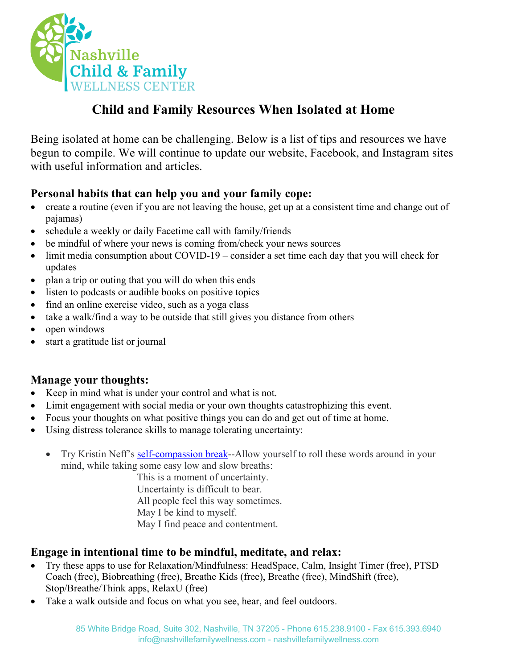

# **Child and Family Resources When Isolated at Home**

Being isolated at home can be challenging. Below is a list of tips and resources we have begun to compile. We will continue to update our website, Facebook, and Instagram sites with useful information and articles.

## **Personal habits that can help you and your family cope:**

- create a routine (even if you are not leaving the house, get up at a consistent time and change out of pajamas)
- schedule a weekly or daily Facetime call with family/friends
- be mindful of where your news is coming from/check your news sources
- limit media consumption about COVID-19 consider a set time each day that you will check for updates
- plan a trip or outing that you will do when this ends
- listen to podcasts or audible books on positive topics
- find an online exercise video, such as a yoga class
- take a walk/find a way to be outside that still gives you distance from others
- open windows
- start a gratitude list or journal

## **Manage your thoughts:**

- Keep in mind what is under your control and what is not.
- Limit engagement with social media or your own thoughts catastrophizing this event.
- Focus your thoughts on what positive things you can do and get out of time at home.
- Using distress tolerance skills to manage tolerating uncertainty:
	- Try Kristin Neff's self-compassion break--Allow yourself to roll these words around in your mind, while taking some easy low and slow breaths:

This is a moment of uncertainty. Uncertainty is difficult to bear. All people feel this way sometimes. May I be kind to myself. May I find peace and contentment.

## **Engage in intentional time to be mindful, meditate, and relax:**

- Try these apps to use for Relaxation/Mindfulness: HeadSpace, Calm, Insight Timer (free), PTSD Coach (free), Biobreathing (free), Breathe Kids (free), Breathe (free), MindShift (free), Stop/Breathe/Think apps, RelaxU (free)
- Take a walk outside and focus on what you see, hear, and feel outdoors.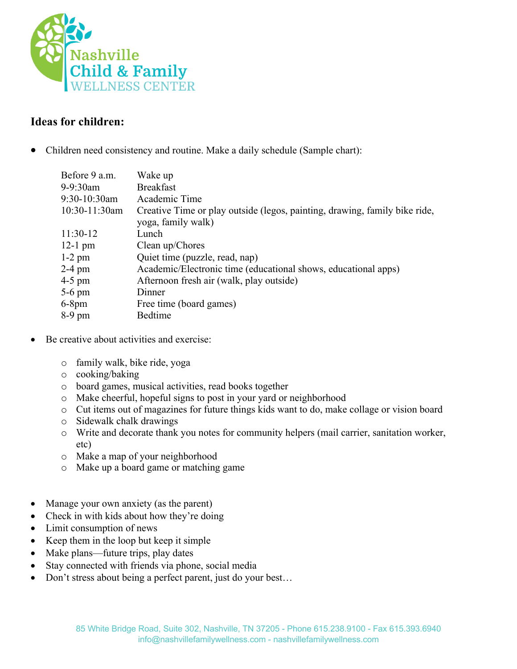

## **Ideas for children:**

• Children need consistency and routine. Make a daily schedule (Sample chart):

| Before 9 a.m. | Wake up                                                                                          |
|---------------|--------------------------------------------------------------------------------------------------|
| 9-9:30am      | <b>Breakfast</b>                                                                                 |
| 9:30-10:30am  | Academic Time                                                                                    |
| 10:30-11:30am | Creative Time or play outside (legos, painting, drawing, family bike ride,<br>yoga, family walk) |
| 11:30-12      | Lunch                                                                                            |
| $12-1$ pm     | Clean up/Chores                                                                                  |
| $1-2$ pm      | Quiet time (puzzle, read, nap)                                                                   |
| 2-4 pm        | Academic/Electronic time (educational shows, educational apps)                                   |
| 4-5 pm        | Afternoon fresh air (walk, play outside)                                                         |
| 5-6 pm        | Dinner                                                                                           |
| $6-8$ pm      | Free time (board games)                                                                          |
| 8-9 pm        | Bedtime                                                                                          |
|               |                                                                                                  |

- Be creative about activities and exercise:
	- o family walk, bike ride, yoga
	- o cooking/baking
	- o board games, musical activities, read books together
	- o Make cheerful, hopeful signs to post in your yard or neighborhood
	- o Cut items out of magazines for future things kids want to do, make collage or vision board
	- o Sidewalk chalk drawings
	- o Write and decorate thank you notes for community helpers (mail carrier, sanitation worker, etc)
	- o Make a map of your neighborhood
	- o Make up a board game or matching game
- Manage your own anxiety (as the parent)
- Check in with kids about how they're doing
- Limit consumption of news
- Keep them in the loop but keep it simple
- Make plans—future trips, play dates
- Stay connected with friends via phone, social media
- Don't stress about being a perfect parent, just do your best...